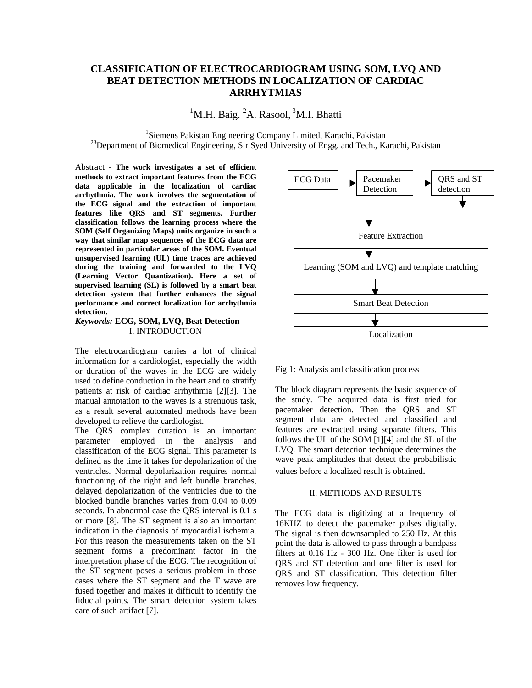# **CLASSIFICATION OF ELECTROCARDIOGRAM USING SOM, LVQ AND BEAT DETECTION METHODS IN LOCALIZATION OF CARDIAC ARRHYTMIAS**

<sup>1</sup>M.H. Baig.  ${}^{2}$ A. Rasool,  ${}^{3}$ M.I. Bhatti

<sup>1</sup>Siemens Pakistan Engineering Company Limited, Karachi, Pakistan  $^{23}$ Department of Biomedical Engineering, Sir Syed University of Engg. and Tech., Karachi, Pakistan

Abstract **- The work investigates a set of efficient methods to extract important features from the ECG data applicable in the localization of cardiac arrhythmia. The work involves the segmentation of the ECG signal and the extraction of important features like QRS and ST segments. Further classification follows the learning process where the SOM (Self Organizing Maps) units organize in such a way that similar map sequences of the ECG data are represented in particular areas of the SOM. Eventual unsupervised learning (UL) time traces are achieved during the training and forwarded to the LVQ (Learning Vector Quantization). Here a set of supervised learning (SL) is followed by a smart beat detection system that further enhances the signal performance and correct localization for arrhythmia detection.**

# *Keywords:* **ECG, SOM, LVQ, Beat Detection** I. INTRODUCTION

The electrocardiogram carries a lot of clinical information for a cardiologist, especially the width or duration of the waves in the ECG are widely used to define conduction in the heart and to stratify patients at risk of cardiac arrhythmia [2][3]. The manual annotation to the waves is a strenuous task, as a result several automated methods have been developed to relieve the cardiologist.

The QRS complex duration is an important parameter employed in the analysis and classification of the ECG signal. This parameter is defined as the time it takes for depolarization of the ventricles. Normal depolarization requires normal functioning of the right and left bundle branches, delayed depolarization of the ventricles due to the blocked bundle branches varies from 0.04 to 0.09 seconds. In abnormal case the QRS interval is 0.1 s or more [8]. The ST segment is also an important indication in the diagnosis of myocardial ischemia. For this reason the measurements taken on the ST segment forms a predominant factor in the interpretation phase of the ECG. The recognition of the ST segment poses a serious problem in those cases where the ST segment and the T wave are fused together and makes it difficult to identify the fiducial points. The smart detection system takes care of such artifact [7].



Fig 1: Analysis and classification process

The block diagram represents the basic sequence of the study. The acquired data is first tried for pacemaker detection. Then the QRS and ST segment data are detected and classified and features are extracted using separate filters. This follows the UL of the SOM [1][4] and the SL of the LVQ. The smart detection technique determines the wave peak amplitudes that detect the probabilistic values before a localized result is obtained.

## II. METHODS AND RESULTS

The ECG data is digitizing at a frequency of 16KHZ to detect the pacemaker pulses digitally. The signal is then downsampled to 250 Hz. At this point the data is allowed to pass through a bandpass filters at 0.16 Hz - 300 Hz. One filter is used for QRS and ST detection and one filter is used for QRS and ST classification. This detection filter removes low frequency.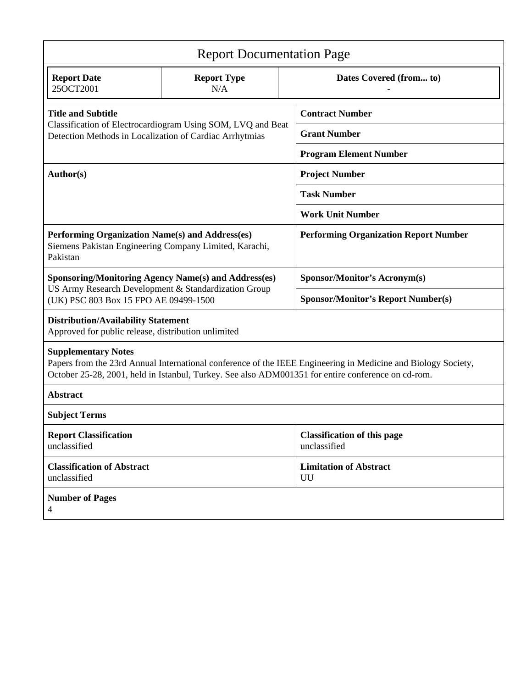| <b>Report Documentation Page</b>                                                                                                                                                                                                                  |                           |                         |                                                    |  |
|---------------------------------------------------------------------------------------------------------------------------------------------------------------------------------------------------------------------------------------------------|---------------------------|-------------------------|----------------------------------------------------|--|
| <b>Report Date</b><br>25OCT2001                                                                                                                                                                                                                   | <b>Report Type</b><br>N/A | Dates Covered (from to) |                                                    |  |
| <b>Title and Subtitle</b><br>Classification of Electrocardiogram Using SOM, LVQ and Beat<br>Detection Methods in Localization of Cardiac Arrhytmias                                                                                               |                           |                         | <b>Contract Number</b>                             |  |
|                                                                                                                                                                                                                                                   |                           |                         | <b>Grant Number</b>                                |  |
|                                                                                                                                                                                                                                                   |                           |                         | <b>Program Element Number</b>                      |  |
| Author(s)                                                                                                                                                                                                                                         |                           |                         | <b>Project Number</b>                              |  |
|                                                                                                                                                                                                                                                   |                           |                         | <b>Task Number</b>                                 |  |
|                                                                                                                                                                                                                                                   |                           |                         | <b>Work Unit Number</b>                            |  |
| Performing Organization Name(s) and Address(es)<br>Siemens Pakistan Engineering Company Limited, Karachi,<br>Pakistan                                                                                                                             |                           |                         | <b>Performing Organization Report Number</b>       |  |
| <b>Sponsoring/Monitoring Agency Name(s) and Address(es)</b><br>US Army Research Development & Standardization Group<br>(UK) PSC 803 Box 15 FPO AE 09499-1500                                                                                      |                           |                         | <b>Sponsor/Monitor's Acronym(s)</b>                |  |
|                                                                                                                                                                                                                                                   |                           |                         | <b>Sponsor/Monitor's Report Number(s)</b>          |  |
| <b>Distribution/Availability Statement</b><br>Approved for public release, distribution unlimited                                                                                                                                                 |                           |                         |                                                    |  |
| <b>Supplementary Notes</b><br>Papers from the 23rd Annual International conference of the IEEE Engineering in Medicine and Biology Society,<br>October 25-28, 2001, held in Istanbul, Turkey. See also ADM001351 for entire conference on cd-rom. |                           |                         |                                                    |  |
| <b>Abstract</b>                                                                                                                                                                                                                                   |                           |                         |                                                    |  |
| <b>Subject Terms</b>                                                                                                                                                                                                                              |                           |                         |                                                    |  |
| <b>Report Classification</b><br>unclassified                                                                                                                                                                                                      |                           |                         | <b>Classification of this page</b><br>unclassified |  |
| <b>Classification of Abstract</b><br>unclassified                                                                                                                                                                                                 |                           | UU                      | <b>Limitation of Abstract</b>                      |  |
| <b>Number of Pages</b><br>4                                                                                                                                                                                                                       |                           |                         |                                                    |  |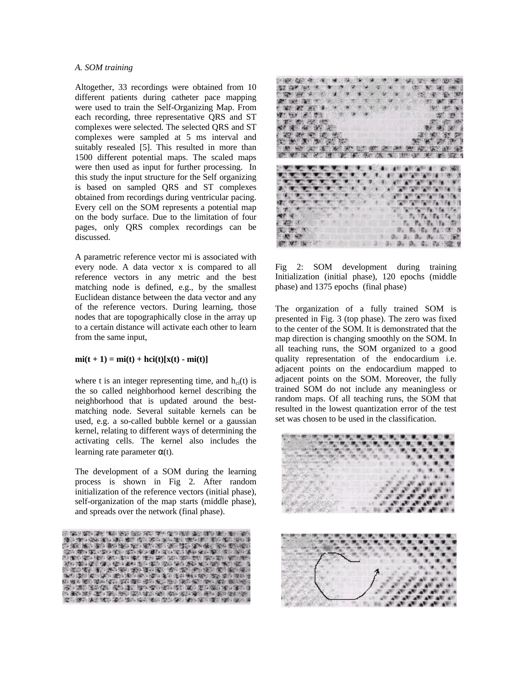### *A. SOM training*

Altogether, 33 recordings were obtained from 10 different patients during catheter pace mapping were used to train the Self-Organizing Map. From each recording, three representative QRS and ST complexes were selected. The selected QRS and ST complexes were sampled at 5 ms interval and suitably resealed [5]. This resulted in more than 1500 different potential maps. The scaled maps were then used as input for further processing. In this study the input structure for the Self organizing is based on sampled QRS and ST complexes obtained from recordings during ventricular pacing. Every cell on the SOM represents a potential map on the body surface. Due to the limitation of four pages, only QRS complex recordings can be discussed.

A parametric reference vector mi is associated with every node. A data vector x is compared to all reference vectors in any metric and the best matching node is defined, e.g., by the smallest Euclidean distance between the data vector and any of the reference vectors. During learning, those nodes that are topographically close in the array up to a certain distance will activate each other to learn from the same input,

# $mi(t + 1) = mi(t) + hci(t)[x(t) - mi(t)]$

where t is an integer representing time, and  $h_{ci}(t)$  is the so called neighborhood kernel describing the neighborhood that is updated around the bestmatching node. Several suitable kernels can be used, e.g. a so-called bubble kernel or a gaussian kernel, relating to different ways of determining the activating cells. The kernel also includes the learning rate parameter  $\alpha(t)$ .

The development of a SOM during the learning process is shown in Fig 2. After random initialization of the reference vectors (initial phase), self-organization of the map starts (middle phase), and spreads over the network (final phase).





Fig 2: SOM development during training Initialization (initial phase), 120 epochs (middle phase) and 1375 epochs (final phase)

The organization of a fully trained SOM is presented in Fig. 3 (top phase). The zero was fixed to the center of the SOM. It is demonstrated that the map direction is changing smoothly on the SOM. In all teaching runs, the SOM organized to a good quality representation of the endocardium i.e. adjacent points on the endocardium mapped to adjacent points on the SOM. Moreover, the fully trained SOM do not include any meaningless or random maps. Of all teaching runs, the SOM that resulted in the lowest quantization error of the test set was chosen to be used in the classification.

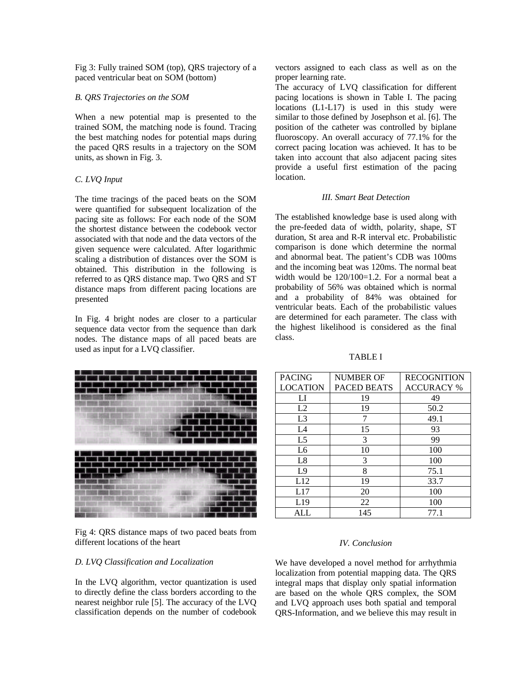Fig 3: Fully trained SOM (top), QRS trajectory of a paced ventricular beat on SOM (bottom)

#### *B. QRS Trajectories on the SOM*

When a new potential map is presented to the trained SOM, the matching node is found. Tracing the best matching nodes for potential maps during the paced QRS results in a trajectory on the SOM units, as shown in Fig. 3.

### *C. LVQ Input*

The time tracings of the paced beats on the SOM were quantified for subsequent localization of the pacing site as follows: For each node of the SOM the shortest distance between the codebook vector associated with that node and the data vectors of the given sequence were calculated. After logarithmic scaling a distribution of distances over the SOM is obtained. This distribution in the following is referred to as QRS distance map. Two QRS and ST distance maps from different pacing locations are presented

In Fig. 4 bright nodes are closer to a particular sequence data vector from the sequence than dark nodes. The distance maps of all paced beats are used as input for a LVQ classifier.



Fig 4: QRS distance maps of two paced beats from different locations of the heart

### *D. LVQ Classification and Localization*

In the LVQ algorithm, vector quantization is used to directly define the class borders according to the nearest neighbor rule [5]. The accuracy of the LVQ classification depends on the number of codebook vectors assigned to each class as well as on the proper learning rate.

The accuracy of LVQ classification for different pacing locations is shown in Table I. The pacing locations (L1-L17) is used in this study were similar to those defined by Josephson et al. [6]. The position of the catheter was controlled by biplane fluoroscopy. An overall accuracy of 77.1% for the correct pacing location was achieved. It has to be taken into account that also adjacent pacing sites provide a useful first estimation of the pacing location.

#### *III. Smart Beat Detection*

The established knowledge base is used along with the pre-feeded data of width, polarity, shape, ST duration, St area and R-R interval etc. Probabilistic comparison is done which determine the normal and abnormal beat. The patient's CDB was 100ms and the incoming beat was 120ms. The normal beat width would be 120/100=1.2. For a normal beat a probability of 56% was obtained which is normal and a probability of 84% was obtained for ventricular beats. Each of the probabilistic values are determined for each parameter. The class with the highest likelihood is considered as the final class.

TABLE I

| <b>PACING</b>   | <b>NUMBER OF</b>   | <b>RECOGNITION</b> |
|-----------------|--------------------|--------------------|
| <b>LOCATION</b> | <b>PACED BEATS</b> | <b>ACCURACY %</b>  |
| LI              | 19                 | 49                 |
| L2              | 19                 | 50.2               |
| L <sub>3</sub>  | 7                  | 49.1               |
| L4              | 15                 | 93                 |
| L <sub>5</sub>  | 3                  | 99                 |
| L6              | 10                 | 100                |
| L8              | 3                  | 100                |
| L <sub>9</sub>  | 8                  | 75.1               |
| L12             | 19                 | 33.7               |
| L17             | 20                 | 100                |
| L19             | 22                 | 100                |
| ALL             | 145                | 77.1               |

#### *IV. Conclusion*

We have developed a novel method for arrhythmia localization from potential mapping data. The QRS integral maps that display only spatial information are based on the whole QRS complex, the SOM and LVQ approach uses both spatial and temporal QRS-Information, and we believe this may result in